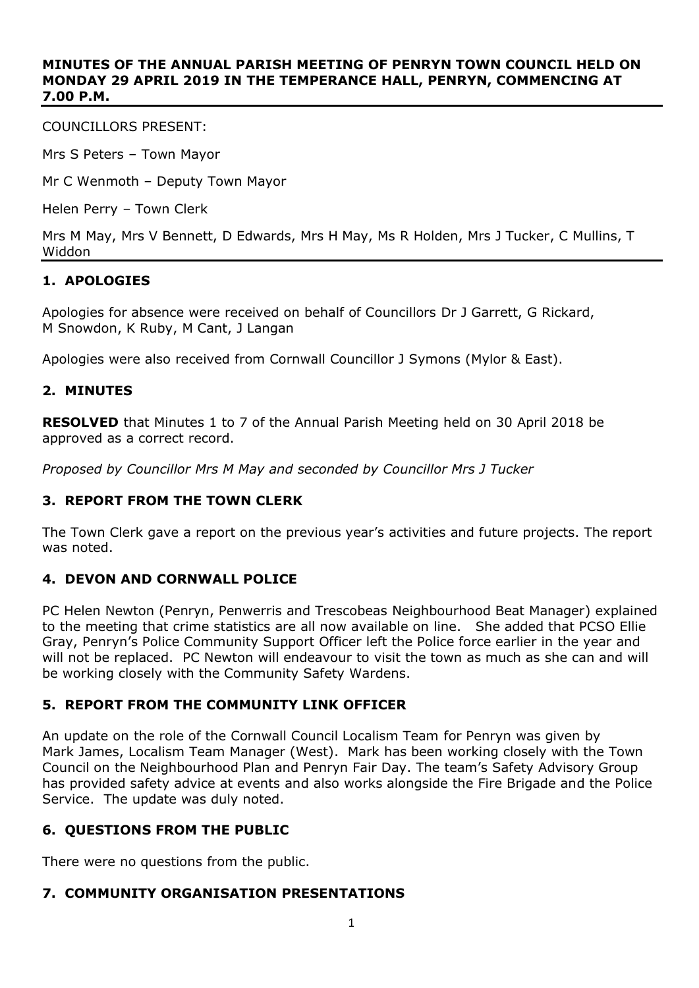#### **MINUTES OF THE ANNUAL PARISH MEETING OF PENRYN TOWN COUNCIL HELD ON MONDAY 29 APRIL 2019 IN THE TEMPERANCE HALL, PENRYN, COMMENCING AT 7.00 P.M.**

COUNCILLORS PRESENT:

Mrs S Peters – Town Mayor

Mr C Wenmoth – Deputy Town Mayor

Helen Perry – Town Clerk

Mrs M May, Mrs V Bennett, D Edwards, Mrs H May, Ms R Holden, Mrs J Tucker, C Mullins, T Widdon

## **1. APOLOGIES**

Apologies for absence were received on behalf of Councillors Dr J Garrett, G Rickard, M Snowdon, K Ruby, M Cant, J Langan

Apologies were also received from Cornwall Councillor J Symons (Mylor & East).

### **2. MINUTES**

**RESOLVED** that Minutes 1 to 7 of the Annual Parish Meeting held on 30 April 2018 be approved as a correct record.

*Proposed by Councillor Mrs M May and seconded by Councillor Mrs J Tucker*

### **3. REPORT FROM THE TOWN CLERK**

The Town Clerk gave a report on the previous year's activities and future projects. The report was noted.

### **4. DEVON AND CORNWALL POLICE**

PC Helen Newton (Penryn, Penwerris and Trescobeas Neighbourhood Beat Manager) explained to the meeting that crime statistics are all now available on line. She added that PCSO Ellie Gray, Penryn's Police Community Support Officer left the Police force earlier in the year and will not be replaced. PC Newton will endeavour to visit the town as much as she can and will be working closely with the Community Safety Wardens.

### **5. REPORT FROM THE COMMUNITY LINK OFFICER**

An update on the role of the Cornwall Council Localism Team for Penryn was given by Mark James, Localism Team Manager (West). Mark has been working closely with the Town Council on the Neighbourhood Plan and Penryn Fair Day. The team's Safety Advisory Group has provided safety advice at events and also works alongside the Fire Brigade and the Police Service. The update was duly noted.

# **6. QUESTIONS FROM THE PUBLIC**

There were no questions from the public.

### **7. COMMUNITY ORGANISATION PRESENTATIONS**